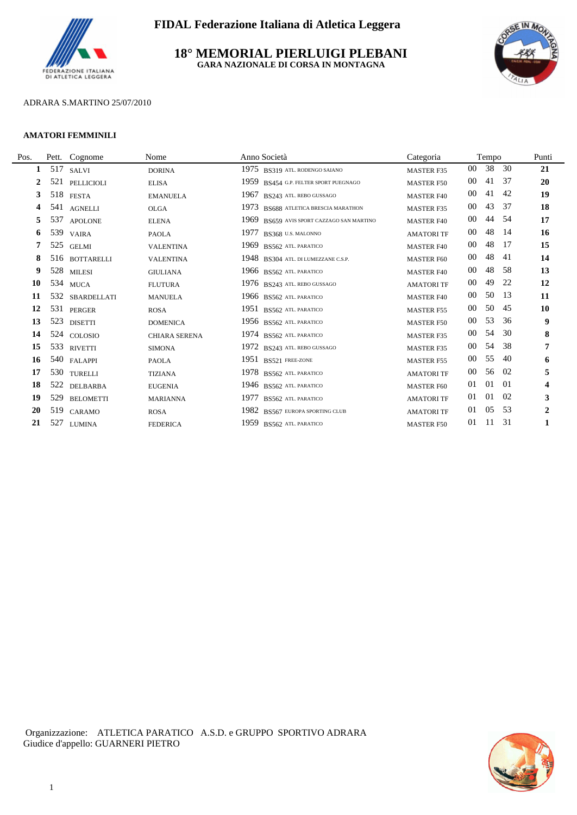

**18° MEMORIAL PIERLUIGI PLEBANI GARA NAZIONALE DI CORSA IN MONTAGNA**



## ADRARA S.MARTINO 25/07/2010

#### **AMATORI FEMMINILI**

L.

| Pos. | Pett. | Cognome           | Nome                 | Anno Società                                   | Categoria         |        | Tempo |     | Punti          |
|------|-------|-------------------|----------------------|------------------------------------------------|-------------------|--------|-------|-----|----------------|
| 1    | 517   | <b>SALVI</b>      | <b>DORINA</b>        | 1975<br>BS319 ATL. RODENGO SAIANO              | <b>MASTER F35</b> | $00\,$ | 38    | 30  | 21             |
| 2    | 521   | PELLICIOLI        | <b>ELISA</b>         | 1959<br>BS454 G.P. FELTER SPORT PUEGNAGO       | <b>MASTER F50</b> | $00\,$ | 41    | 37  | 20             |
| 3    | 518   | <b>FESTA</b>      | <b>EMANUELA</b>      | 1967 BS243 ATL. REBO GUSSAGO                   | <b>MASTER F40</b> | 00     | 41    | 42  | 19             |
| 4    | 541   | <b>AGNELLI</b>    | <b>OLGA</b>          | 1973<br><b>BS688 ATLETICA BRESCIA MARATHON</b> | <b>MASTER F35</b> | $00\,$ | 43    | 37  | 18             |
| 5    | 537   | <b>APOLONE</b>    | <b>ELENA</b>         | 1969<br>BS659 AVIS SPORT CAZZAGO SAN MARTINO   | <b>MASTER F40</b> | 00     | 44    | -54 | 17             |
| 6    | 539   | <b>VAIRA</b>      | <b>PAOLA</b>         | 1977<br>BS368 U.S. MALONNO                     | <b>AMATORI TF</b> | $00\,$ | 48    | -14 | 16             |
|      | 525   | <b>GELMI</b>      | <b>VALENTINA</b>     | 1969<br>BS562 ATL PARATICO                     | <b>MASTER F40</b> | $00\,$ | 48    | 17  | 15             |
| 8    | 516   | <b>BOTTARELLI</b> | <b>VALENTINA</b>     | 1948 BS304 ATL. DI LUMEZZANE C.S.P.            | <b>MASTER F60</b> | $00\,$ | 48    | -41 | 14             |
| 9    |       | 528 MILESI        | <b>GIULIANA</b>      | 1966 BS562 ATL PARATICO                        | <b>MASTER F40</b> | $00\,$ | 48    | -58 | 13             |
| 10   |       | 534 MUCA          | <b>FLUTURA</b>       | 1976 BS243 ATL. REBO GUSSAGO                   | <b>AMATORI TF</b> | 00     | 49    | 22  | 12             |
| 11   | 532   | SBARDELLATI       | <b>MANUELA</b>       | 1966 BS562 ATL PARATICO                        | <b>MASTER F40</b> | $00\,$ | 50    | 13  | 11             |
| 12   |       | 531 PERGER        | <b>ROSA</b>          | 1951 BS562 ATL PARATICO                        | <b>MASTER F55</b> | 00     | 50    | 45  | 10             |
| 13   | 523   | <b>DISETTI</b>    | <b>DOMENICA</b>      | 1956 BS562 ATL. PARATICO                       | <b>MASTER F50</b> | 00     | 53    | 36  | 9              |
| 14   |       | 524 COLOSIO       | <b>CHIARA SERENA</b> | 1974 BS562 ATL PARATICO                        | <b>MASTER F35</b> | $00\,$ | 54    | 30  | 8              |
| 15   | 533   | <b>RIVETTI</b>    | <b>SIMONA</b>        | 1972 BS243 ATL. REBO GUSSAGO                   | <b>MASTER F35</b> | 00     | 54    | 38  | 7              |
| 16   | 540   | <b>FALAPPI</b>    | <b>PAOLA</b>         | 1951 BS521 FREE-ZONE                           | <b>MASTER F55</b> | 00     | 55    | 40  | 6              |
| 17   |       | 530 TURELLI       | <b>TIZIANA</b>       | 1978 BS562 ATL. PARATICO                       | <b>AMATORI TF</b> | 00     | 56    | 02  | 5              |
| 18   | 522   | DELBARBA          | <b>EUGENIA</b>       | 1946 BS562 ATL PARATICO                        | <b>MASTER F60</b> | 01     | 01    | -01 | 4              |
| 19   | 529   | <b>BELOMETTI</b>  | <b>MARIANNA</b>      | 1977<br>BS562 ATL PARATICO                     | <b>AMATORI TF</b> | 01     | 01    | 02  | 3              |
| 20   | 519   | CARAMO            | <b>ROSA</b>          | 1982 BS567 EUROPA SPORTING CLUB                | <b>AMATORI TF</b> | 01     | 05    | 53  | $\overline{2}$ |
| 21   | 527   | <b>LUMINA</b>     | <b>FEDERICA</b>      | 1959 BS562 ATL. PARATICO                       | <b>MASTER F50</b> | 01     | 11    | 31  |                |
|      |       |                   |                      |                                                |                   |        |       |     |                |

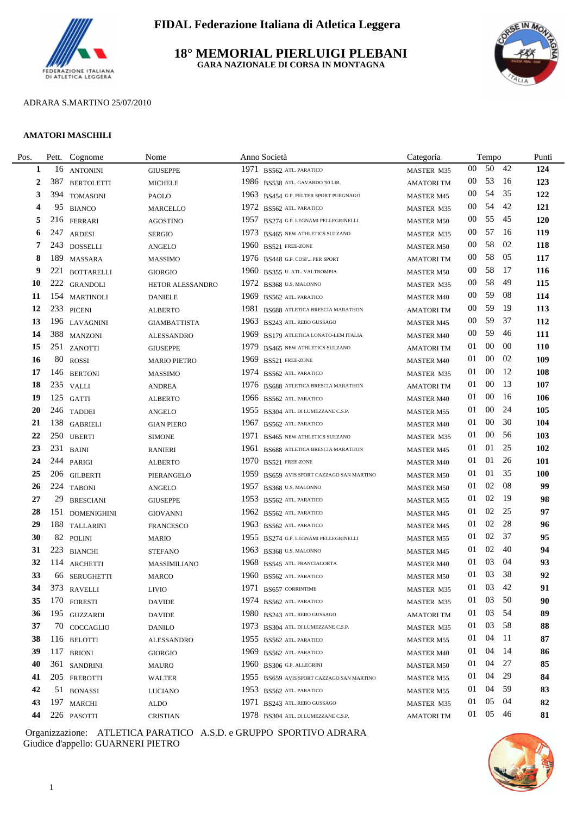

**18° MEMORIAL PIERLUIGI PLEBANI GARA NAZIONALE DI CORSA IN MONTAGNA**



#### ADRARA S.MARTINO 25/07/2010

#### **AMATORI MASCHILI**

L.

| Pos. | Pett. | Cognome           | Nome                | Anno Società                              | Categoria         |        | Tempo    |      | Punti      |  |
|------|-------|-------------------|---------------------|-------------------------------------------|-------------------|--------|----------|------|------------|--|
| 1    | 16    | <b>ANTONINI</b>   | <b>GIUSEPPE</b>     | 1971<br>BS562 ATL PARATICO                | MASTER M35        | $00\,$ | 50       | 42   | 124        |  |
| 2    | 387   | <b>BERTOLETTI</b> | <b>MICHELE</b>      | 1986 BS538 ATL. GAVARDO '90 LIB.          | <b>AMATORITM</b>  | 00     | 53       | - 16 | 123        |  |
| 3    | 394   | <b>TOMASONI</b>   | PAOLO               | 1963 BS454 G.P. FELTER SPORT PUEGNAGO     | <b>MASTER M45</b> | 00     | 54       | 35   | 122        |  |
| 4    | 95    | <b>BIANCO</b>     | <b>MARCELLO</b>     | 1972 BS562 ATL PARATICO                   | MASTER M35        | $00\,$ | 54       | 42   | 121        |  |
| 5    |       | 216 FERRARI       | <b>AGOSTINO</b>     | 1957 BS274 G.P. LEGNAMI PELLEGRINELLI     | <b>MASTER M50</b> | $00\,$ | 55       | 45   | 120        |  |
| 6    | 247   | <b>ARDESI</b>     | <b>SERGIO</b>       | 1973 BS465 NEW ATHLETICS SULZANO          | MASTER M35        | 00     | 57       | - 16 | 119        |  |
| 7    |       | 243 DOSSELLI      | <b>ANGELO</b>       | 1960 BS521 FREE-ZONE                      | <b>MASTER M50</b> | 00     | 58       | 02   | 118        |  |
| 8    | 189   | <b>MASSARA</b>    | <b>MASSIMO</b>      | 1976 BS448 G.P. COSI' PER SPORT           | <b>AMATORITM</b>  | 00     | 58       | 05   | 117        |  |
| 9    |       | 221 BOTTARELLI    | <b>GIORGIO</b>      | 1960 BS355 U. ATL. VALTROMPIA             | <b>MASTER M50</b> | 00     | 58       | -17  | 116        |  |
| 10   |       | 222 GRANDOLI      | HETOR ALESSANDRO    | 1972 BS368 U.S. MALONNO                   | MASTER M35        | 00     | 58       | 49   | 115        |  |
| 11   |       | 154 MARTINOLI     | <b>DANIELE</b>      | 1969 BS562 ATL PARATICO                   | <b>MASTER M40</b> | $00\,$ | 59       | -08  | 114        |  |
| 12   |       | 233 PICENI        | <b>ALBERTO</b>      | 1981 BS688 ATLETICA BRESCIA MARATHON      | <b>AMATORITM</b>  | $00\,$ | 59       | -19  | 113        |  |
| 13   |       | 196 LAVAGNINI     | <b>GIAMBATTISTA</b> | 1963 BS243 ATL. REBO GUSSAGO              | <b>MASTER M45</b> | $00\,$ | 59       | 37   | 112        |  |
| 14   |       | 388 MANZONI       | <b>ALESSANDRO</b>   | 1969 BS179 ATLETICA LONATO-LEM ITALIA     | <b>MASTER M40</b> | 00     | 59       | 46   | 111        |  |
| 15   |       | 251 ZANOTTI       | <b>GIUSEPPE</b>     | 1979<br>BS465 NEW ATHLETICS SULZANO       | <b>AMATORITM</b>  | 01     | 00       | 00   | 110        |  |
| 16   |       | 80 ROSSI          | <b>MARIO PIETRO</b> | 1969 BS521 FREE-ZONE                      | <b>MASTER M40</b> | 01     | 00       | 02   | 109        |  |
| 17   |       | 146 BERTONI       | <b>MASSIMO</b>      | 1974 BS562 ATL. PARATICO                  | MASTER M35        | 01     | 00       | -12  | 108        |  |
| 18   |       | 235 VALLI         | <b>ANDREA</b>       | 1976 BS688 ATLETICA BRESCIA MARATHON      | <b>AMATORITM</b>  | 01     | 00       | 13   | 107        |  |
| 19   |       | 125 GATTI         | <b>ALBERTO</b>      | 1966 BS562 ATL PARATICO                   | <b>MASTER M40</b> | 01     | 00       | -16  | 106        |  |
| 20   |       | 246 TADDEI        | <b>ANGELO</b>       | 1955 BS304 ATL. DI LUMEZZANE C.S.P.       | <b>MASTER M55</b> | 01     | 00       | 24   | 105        |  |
| 21   |       | 138 GABRIELI      | <b>GIAN PIERO</b>   | 1967 BS562 ATL. PARATICO                  | <b>MASTER M40</b> | 01     | 00       | 30   | 104        |  |
| 22   |       | 250 UBERTI        | <b>SIMONE</b>       | 1971 BS465 NEW ATHLETICS SULZANO          | MASTER M35        | 01     | 00       | -56  | 103        |  |
| 23   |       | 231 BAINI         | <b>RANIERI</b>      | 1961 BS688 ATLETICA BRESCIA MARATHON      | <b>MASTER M45</b> | 01     | 01       | 25   | 102        |  |
| 24   |       | 244 PARIGI        | <b>ALBERTO</b>      | 1970 BS521 FREE-ZONE                      | <b>MASTER M40</b> | 01     | 01       | 26   | 101        |  |
| 25   |       | 206 GILBERTI      | PIERANGELO          | 1959 BS659 AVIS SPORT CAZZAGO SAN MARTINO | <b>MASTER M50</b> | 01     | 01       | 35   | <b>100</b> |  |
| 26   |       | 224 TABONI        | <b>ANGELO</b>       | 1957 BS368 U.S. MALONNO                   | <b>MASTER M50</b> | 01     | 02       | 08   | 99         |  |
| 27   |       | 29 BRESCIANI      | <b>GIUSEPPE</b>     | 1953 BS562 ATL PARATICO                   | <b>MASTER M55</b> | 01     | 02       | -19  | 98         |  |
| 28   |       | 151 DOMENIGHINI   | <b>GIOVANNI</b>     | 1962 BS562 ATL PARATICO                   | <b>MASTER M45</b> | 01     | 02       | 25   | 97         |  |
| 29   |       | 188 TALLARINI     | <b>FRANCESCO</b>    | 1963 BS562 ATL PARATICO                   | <b>MASTER M45</b> | 01     | 02       | 28   | 96         |  |
| 30   |       | 82 POLINI         | MARIO               | 1955 BS274 G.P. LEGNAMI PELLEGRINELLI     | <b>MASTER M55</b> | 01     | 02       | 37   | 95         |  |
| 31   |       | 223 BIANCHI       | <b>STEFANO</b>      | 1963 BS368 U.S. MALONNO                   | <b>MASTER M45</b> | 01     | 02       | 40   | 94         |  |
| 32   |       | 114 ARCHETTI      | MASSIMILIANO        | 1968 BS545 ATL. FRANCIACORTA              | <b>MASTER M40</b> | 01     | 03       | 04   | 93         |  |
| 33   |       | 66 SERUGHETTI     | <b>MARCO</b>        | 1960 BS562 ATL. PARATICO                  | <b>MASTER M50</b> | 01     | 03       | 38   | 92         |  |
| 34   |       | 373 RAVELLI       | <b>LIVIO</b>        | 1971 BS657 CORRINTIME                     | MASTER M35        | 01     | 03 42    |      | 91         |  |
| 35   |       | 170 FORESTI       | DAVIDE              | 1974 BS562 ATL. PARATICO                  | MASTER M35        | 01     | 03       | -50  | 90         |  |
| 36   |       | 195 GUZZARDI      | <b>DAVIDE</b>       | 1980 BS243 ATL. REBO GUSSAGO              | <b>AMATORITM</b>  | 01     | 03       | 54   | 89         |  |
| 37   |       | 70 COCCAGLIO      | <b>DANILO</b>       | 1973 BS304 ATL. DI LUMEZZANE C.S.P.       | MASTER M35        | 01     | 03       | -58  | 88         |  |
| 38   |       | 116 BELOTTI       | <b>ALESSANDRO</b>   | 1955 BS562 ATL. PARATICO                  | <b>MASTER M55</b> | 01     | 04       | -11  | 87         |  |
| 39   |       | 117 BRIONI        | <b>GIORGIO</b>      | 1969 BS562 ATL PARATICO                   | <b>MASTER M40</b> | 01     | 04       | - 14 | 86         |  |
| 40   |       | 361 SANDRINI      | MAURO               | 1960 BS306 G.P. ALLEGRINI                 | <b>MASTER M50</b> | 01     | 04       | 27   | 85         |  |
| 41   |       | 205 FREROTTI      | <b>WALTER</b>       | 1955 BS659 AVIS SPORT CAZZAGO SAN MARTINO | <b>MASTER M55</b> | 01     | 04       | 29   | 84         |  |
| 42   |       | 51 BONASSI        | <b>LUCIANO</b>      | 1953 BS562 ATL PARATICO                   | <b>MASTER M55</b> | 01     | 04       | 59   | 83         |  |
| 43   |       | 197 MARCHI        | ALDO                | 1971 BS243 ATL. REBO GUSSAGO              | MASTER M35        | 01     | 05       | 04   | 82         |  |
| 44   |       | 226 PASOTTI       | <b>CRISTIAN</b>     | 1978 BS304 ATL. DI LUMEZZANE C.S.P.       | <b>AMATORI TM</b> |        | 01 05 46 |      | 81         |  |

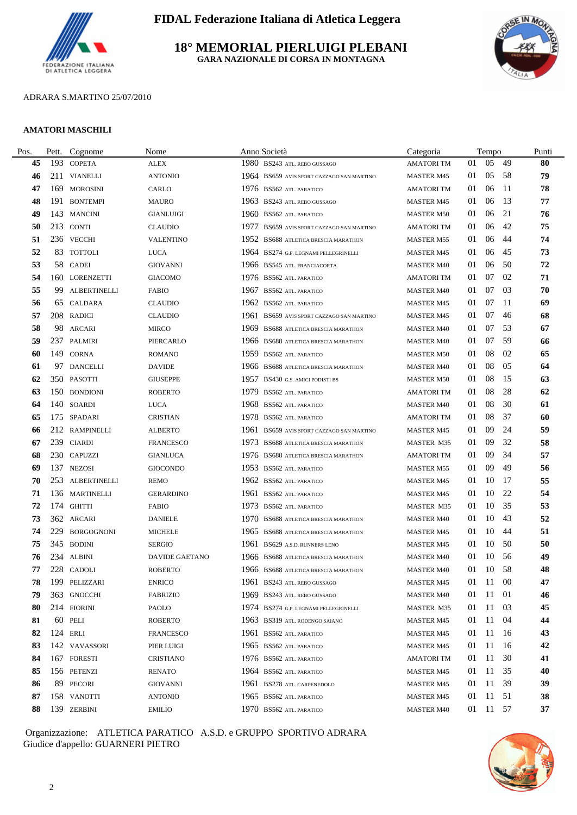

# **18° MEMORIAL PIERLUIGI PLEBANI GARA NAZIONALE DI CORSA IN MONTAGNA**



# ADRARA S.MARTINO 25/07/2010

#### **AMATORI MASCHILI**

| Pett. | Cognome           | Nome                                                                                                                                                                                                                                                                                                                                                                                                                                                                                                                                                                                                                                                         |      | Categoria                                                                                                                                                                                                                                                                                                                                                                                                                                                                                                                                                                                                                                                                                                                                                                                                                                                                                                                                                                                                                                                                                                                                                                                                                                                                                                                                                                                                                                                                                                                                        |    |    |     | Punti                                                                                                                      |
|-------|-------------------|--------------------------------------------------------------------------------------------------------------------------------------------------------------------------------------------------------------------------------------------------------------------------------------------------------------------------------------------------------------------------------------------------------------------------------------------------------------------------------------------------------------------------------------------------------------------------------------------------------------------------------------------------------------|------|--------------------------------------------------------------------------------------------------------------------------------------------------------------------------------------------------------------------------------------------------------------------------------------------------------------------------------------------------------------------------------------------------------------------------------------------------------------------------------------------------------------------------------------------------------------------------------------------------------------------------------------------------------------------------------------------------------------------------------------------------------------------------------------------------------------------------------------------------------------------------------------------------------------------------------------------------------------------------------------------------------------------------------------------------------------------------------------------------------------------------------------------------------------------------------------------------------------------------------------------------------------------------------------------------------------------------------------------------------------------------------------------------------------------------------------------------------------------------------------------------------------------------------------------------|----|----|-----|----------------------------------------------------------------------------------------------------------------------------|
|       |                   | <b>ALEX</b>                                                                                                                                                                                                                                                                                                                                                                                                                                                                                                                                                                                                                                                  |      | <b>AMATORITM</b>                                                                                                                                                                                                                                                                                                                                                                                                                                                                                                                                                                                                                                                                                                                                                                                                                                                                                                                                                                                                                                                                                                                                                                                                                                                                                                                                                                                                                                                                                                                                 | 01 | 05 | -49 | 80                                                                                                                         |
|       |                   | <b>ANTONIO</b>                                                                                                                                                                                                                                                                                                                                                                                                                                                                                                                                                                                                                                               |      | <b>MASTER M45</b>                                                                                                                                                                                                                                                                                                                                                                                                                                                                                                                                                                                                                                                                                                                                                                                                                                                                                                                                                                                                                                                                                                                                                                                                                                                                                                                                                                                                                                                                                                                                | 01 | 05 |     | 79                                                                                                                         |
|       |                   | CARLO                                                                                                                                                                                                                                                                                                                                                                                                                                                                                                                                                                                                                                                        |      | <b>AMATORI TM</b>                                                                                                                                                                                                                                                                                                                                                                                                                                                                                                                                                                                                                                                                                                                                                                                                                                                                                                                                                                                                                                                                                                                                                                                                                                                                                                                                                                                                                                                                                                                                | 01 | 06 |     | 78                                                                                                                         |
|       |                   | <b>MAURO</b>                                                                                                                                                                                                                                                                                                                                                                                                                                                                                                                                                                                                                                                 |      | <b>MASTER M45</b>                                                                                                                                                                                                                                                                                                                                                                                                                                                                                                                                                                                                                                                                                                                                                                                                                                                                                                                                                                                                                                                                                                                                                                                                                                                                                                                                                                                                                                                                                                                                | 01 | 06 |     | 77                                                                                                                         |
|       |                   | <b>GIANLUIGI</b>                                                                                                                                                                                                                                                                                                                                                                                                                                                                                                                                                                                                                                             |      | <b>MASTER M50</b>                                                                                                                                                                                                                                                                                                                                                                                                                                                                                                                                                                                                                                                                                                                                                                                                                                                                                                                                                                                                                                                                                                                                                                                                                                                                                                                                                                                                                                                                                                                                | 01 | 06 | 21  | 76                                                                                                                         |
|       |                   | <b>CLAUDIO</b>                                                                                                                                                                                                                                                                                                                                                                                                                                                                                                                                                                                                                                               |      | <b>AMATORI TM</b>                                                                                                                                                                                                                                                                                                                                                                                                                                                                                                                                                                                                                                                                                                                                                                                                                                                                                                                                                                                                                                                                                                                                                                                                                                                                                                                                                                                                                                                                                                                                | 01 | 06 | 42  | 75                                                                                                                         |
|       |                   | <b>VALENTINO</b>                                                                                                                                                                                                                                                                                                                                                                                                                                                                                                                                                                                                                                             |      | <b>MASTER M55</b>                                                                                                                                                                                                                                                                                                                                                                                                                                                                                                                                                                                                                                                                                                                                                                                                                                                                                                                                                                                                                                                                                                                                                                                                                                                                                                                                                                                                                                                                                                                                | 01 | 06 | 44  | 74                                                                                                                         |
|       |                   | LUCA                                                                                                                                                                                                                                                                                                                                                                                                                                                                                                                                                                                                                                                         |      | <b>MASTER M45</b>                                                                                                                                                                                                                                                                                                                                                                                                                                                                                                                                                                                                                                                                                                                                                                                                                                                                                                                                                                                                                                                                                                                                                                                                                                                                                                                                                                                                                                                                                                                                | 01 | 06 | 45  | 73                                                                                                                         |
|       |                   | <b>GIOVANNI</b>                                                                                                                                                                                                                                                                                                                                                                                                                                                                                                                                                                                                                                              |      | <b>MASTER M40</b>                                                                                                                                                                                                                                                                                                                                                                                                                                                                                                                                                                                                                                                                                                                                                                                                                                                                                                                                                                                                                                                                                                                                                                                                                                                                                                                                                                                                                                                                                                                                | 01 | 06 | -50 | 72                                                                                                                         |
|       |                   | <b>GIACOMO</b>                                                                                                                                                                                                                                                                                                                                                                                                                                                                                                                                                                                                                                               |      | <b>AMATORI TM</b>                                                                                                                                                                                                                                                                                                                                                                                                                                                                                                                                                                                                                                                                                                                                                                                                                                                                                                                                                                                                                                                                                                                                                                                                                                                                                                                                                                                                                                                                                                                                | 01 | 07 | 02  | 71                                                                                                                         |
|       |                   | FABIO                                                                                                                                                                                                                                                                                                                                                                                                                                                                                                                                                                                                                                                        |      | <b>MASTER M40</b>                                                                                                                                                                                                                                                                                                                                                                                                                                                                                                                                                                                                                                                                                                                                                                                                                                                                                                                                                                                                                                                                                                                                                                                                                                                                                                                                                                                                                                                                                                                                | 01 | 07 | 03  | 70                                                                                                                         |
|       |                   | <b>CLAUDIO</b>                                                                                                                                                                                                                                                                                                                                                                                                                                                                                                                                                                                                                                               |      | <b>MASTER M45</b>                                                                                                                                                                                                                                                                                                                                                                                                                                                                                                                                                                                                                                                                                                                                                                                                                                                                                                                                                                                                                                                                                                                                                                                                                                                                                                                                                                                                                                                                                                                                | 01 | 07 |     | 69                                                                                                                         |
|       |                   | <b>CLAUDIO</b>                                                                                                                                                                                                                                                                                                                                                                                                                                                                                                                                                                                                                                               |      | <b>MASTER M45</b>                                                                                                                                                                                                                                                                                                                                                                                                                                                                                                                                                                                                                                                                                                                                                                                                                                                                                                                                                                                                                                                                                                                                                                                                                                                                                                                                                                                                                                                                                                                                | 01 | 07 | -46 | 68                                                                                                                         |
|       |                   | <b>MIRCO</b>                                                                                                                                                                                                                                                                                                                                                                                                                                                                                                                                                                                                                                                 | 1969 | <b>MASTER M40</b>                                                                                                                                                                                                                                                                                                                                                                                                                                                                                                                                                                                                                                                                                                                                                                                                                                                                                                                                                                                                                                                                                                                                                                                                                                                                                                                                                                                                                                                                                                                                | 01 | 07 | 53  | 67                                                                                                                         |
|       |                   | PIERCARLO                                                                                                                                                                                                                                                                                                                                                                                                                                                                                                                                                                                                                                                    |      | <b>MASTER M40</b>                                                                                                                                                                                                                                                                                                                                                                                                                                                                                                                                                                                                                                                                                                                                                                                                                                                                                                                                                                                                                                                                                                                                                                                                                                                                                                                                                                                                                                                                                                                                | 01 | 07 | 59  | 66                                                                                                                         |
|       |                   | <b>ROMANO</b>                                                                                                                                                                                                                                                                                                                                                                                                                                                                                                                                                                                                                                                |      | <b>MASTER M50</b>                                                                                                                                                                                                                                                                                                                                                                                                                                                                                                                                                                                                                                                                                                                                                                                                                                                                                                                                                                                                                                                                                                                                                                                                                                                                                                                                                                                                                                                                                                                                | 01 | 08 | 02  | 65                                                                                                                         |
|       |                   | <b>DAVIDE</b>                                                                                                                                                                                                                                                                                                                                                                                                                                                                                                                                                                                                                                                |      | <b>MASTER M40</b>                                                                                                                                                                                                                                                                                                                                                                                                                                                                                                                                                                                                                                                                                                                                                                                                                                                                                                                                                                                                                                                                                                                                                                                                                                                                                                                                                                                                                                                                                                                                | 01 | 08 | 05  | 64                                                                                                                         |
|       |                   | <b>GIUSEPPE</b>                                                                                                                                                                                                                                                                                                                                                                                                                                                                                                                                                                                                                                              |      | <b>MASTER M50</b>                                                                                                                                                                                                                                                                                                                                                                                                                                                                                                                                                                                                                                                                                                                                                                                                                                                                                                                                                                                                                                                                                                                                                                                                                                                                                                                                                                                                                                                                                                                                | 01 | 08 | 15  | 63                                                                                                                         |
|       |                   | <b>ROBERTO</b>                                                                                                                                                                                                                                                                                                                                                                                                                                                                                                                                                                                                                                               |      | <b>AMATORI TM</b>                                                                                                                                                                                                                                                                                                                                                                                                                                                                                                                                                                                                                                                                                                                                                                                                                                                                                                                                                                                                                                                                                                                                                                                                                                                                                                                                                                                                                                                                                                                                | 01 | 08 | 28  | 62                                                                                                                         |
|       |                   | <b>LUCA</b>                                                                                                                                                                                                                                                                                                                                                                                                                                                                                                                                                                                                                                                  |      | <b>MASTER M40</b>                                                                                                                                                                                                                                                                                                                                                                                                                                                                                                                                                                                                                                                                                                                                                                                                                                                                                                                                                                                                                                                                                                                                                                                                                                                                                                                                                                                                                                                                                                                                | 01 | 08 | 30  | 61                                                                                                                         |
|       |                   | <b>CRISTIAN</b>                                                                                                                                                                                                                                                                                                                                                                                                                                                                                                                                                                                                                                              |      | <b>AMATORI TM</b>                                                                                                                                                                                                                                                                                                                                                                                                                                                                                                                                                                                                                                                                                                                                                                                                                                                                                                                                                                                                                                                                                                                                                                                                                                                                                                                                                                                                                                                                                                                                | 01 | 08 | -37 | 60                                                                                                                         |
|       |                   | <b>ALBERTO</b>                                                                                                                                                                                                                                                                                                                                                                                                                                                                                                                                                                                                                                               |      | <b>MASTER M45</b>                                                                                                                                                                                                                                                                                                                                                                                                                                                                                                                                                                                                                                                                                                                                                                                                                                                                                                                                                                                                                                                                                                                                                                                                                                                                                                                                                                                                                                                                                                                                | 01 | 09 | 24  | 59                                                                                                                         |
|       |                   | <b>FRANCESCO</b>                                                                                                                                                                                                                                                                                                                                                                                                                                                                                                                                                                                                                                             | 1973 | <b>MASTER M35</b>                                                                                                                                                                                                                                                                                                                                                                                                                                                                                                                                                                                                                                                                                                                                                                                                                                                                                                                                                                                                                                                                                                                                                                                                                                                                                                                                                                                                                                                                                                                                | 01 | 09 | 32  | 58                                                                                                                         |
|       |                   | <b>GIANLUCA</b>                                                                                                                                                                                                                                                                                                                                                                                                                                                                                                                                                                                                                                              |      | <b>AMATORI TM</b>                                                                                                                                                                                                                                                                                                                                                                                                                                                                                                                                                                                                                                                                                                                                                                                                                                                                                                                                                                                                                                                                                                                                                                                                                                                                                                                                                                                                                                                                                                                                | 01 | 09 | 34  | 57                                                                                                                         |
|       |                   | <b>GIOCONDO</b>                                                                                                                                                                                                                                                                                                                                                                                                                                                                                                                                                                                                                                              |      | <b>MASTER M55</b>                                                                                                                                                                                                                                                                                                                                                                                                                                                                                                                                                                                                                                                                                                                                                                                                                                                                                                                                                                                                                                                                                                                                                                                                                                                                                                                                                                                                                                                                                                                                | 01 | 09 | 49  | 56                                                                                                                         |
|       |                   | <b>REMO</b>                                                                                                                                                                                                                                                                                                                                                                                                                                                                                                                                                                                                                                                  |      | <b>MASTER M45</b>                                                                                                                                                                                                                                                                                                                                                                                                                                                                                                                                                                                                                                                                                                                                                                                                                                                                                                                                                                                                                                                                                                                                                                                                                                                                                                                                                                                                                                                                                                                                | 01 | 10 |     | 55                                                                                                                         |
|       |                   | <b>GERARDINO</b>                                                                                                                                                                                                                                                                                                                                                                                                                                                                                                                                                                                                                                             |      | <b>MASTER M45</b>                                                                                                                                                                                                                                                                                                                                                                                                                                                                                                                                                                                                                                                                                                                                                                                                                                                                                                                                                                                                                                                                                                                                                                                                                                                                                                                                                                                                                                                                                                                                | 01 | 10 | -22 | 54                                                                                                                         |
|       |                   | <b>FABIO</b>                                                                                                                                                                                                                                                                                                                                                                                                                                                                                                                                                                                                                                                 |      | <b>MASTER M35</b>                                                                                                                                                                                                                                                                                                                                                                                                                                                                                                                                                                                                                                                                                                                                                                                                                                                                                                                                                                                                                                                                                                                                                                                                                                                                                                                                                                                                                                                                                                                                | 01 | 10 | 35  | 53                                                                                                                         |
|       |                   | <b>DANIELE</b>                                                                                                                                                                                                                                                                                                                                                                                                                                                                                                                                                                                                                                               |      | <b>MASTER M40</b>                                                                                                                                                                                                                                                                                                                                                                                                                                                                                                                                                                                                                                                                                                                                                                                                                                                                                                                                                                                                                                                                                                                                                                                                                                                                                                                                                                                                                                                                                                                                | 01 | 10 | -43 | 52                                                                                                                         |
| 229   | <b>BORGOGNONI</b> | <b>MICHELE</b>                                                                                                                                                                                                                                                                                                                                                                                                                                                                                                                                                                                                                                               |      | <b>MASTER M45</b>                                                                                                                                                                                                                                                                                                                                                                                                                                                                                                                                                                                                                                                                                                                                                                                                                                                                                                                                                                                                                                                                                                                                                                                                                                                                                                                                                                                                                                                                                                                                | 01 | 10 | -44 | 51                                                                                                                         |
|       |                   | <b>SERGIO</b>                                                                                                                                                                                                                                                                                                                                                                                                                                                                                                                                                                                                                                                |      | <b>MASTER M45</b>                                                                                                                                                                                                                                                                                                                                                                                                                                                                                                                                                                                                                                                                                                                                                                                                                                                                                                                                                                                                                                                                                                                                                                                                                                                                                                                                                                                                                                                                                                                                | 01 | 10 | -50 | 50                                                                                                                         |
|       |                   | DAVIDE GAETANO                                                                                                                                                                                                                                                                                                                                                                                                                                                                                                                                                                                                                                               |      | <b>MASTER M40</b>                                                                                                                                                                                                                                                                                                                                                                                                                                                                                                                                                                                                                                                                                                                                                                                                                                                                                                                                                                                                                                                                                                                                                                                                                                                                                                                                                                                                                                                                                                                                | 01 | 10 |     | 49                                                                                                                         |
|       |                   | <b>ROBERTO</b>                                                                                                                                                                                                                                                                                                                                                                                                                                                                                                                                                                                                                                               |      | <b>MASTER M40</b>                                                                                                                                                                                                                                                                                                                                                                                                                                                                                                                                                                                                                                                                                                                                                                                                                                                                                                                                                                                                                                                                                                                                                                                                                                                                                                                                                                                                                                                                                                                                | 01 |    |     | 48                                                                                                                         |
|       |                   | ENRICO                                                                                                                                                                                                                                                                                                                                                                                                                                                                                                                                                                                                                                                       |      | MASTER M45                                                                                                                                                                                                                                                                                                                                                                                                                                                                                                                                                                                                                                                                                                                                                                                                                                                                                                                                                                                                                                                                                                                                                                                                                                                                                                                                                                                                                                                                                                                                       |    |    |     | 47                                                                                                                         |
|       |                   | <b>FABRIZIO</b>                                                                                                                                                                                                                                                                                                                                                                                                                                                                                                                                                                                                                                              |      | <b>MASTER M40</b>                                                                                                                                                                                                                                                                                                                                                                                                                                                                                                                                                                                                                                                                                                                                                                                                                                                                                                                                                                                                                                                                                                                                                                                                                                                                                                                                                                                                                                                                                                                                | 01 |    |     | 46                                                                                                                         |
|       |                   | <b>PAOLO</b>                                                                                                                                                                                                                                                                                                                                                                                                                                                                                                                                                                                                                                                 |      | MASTER M35                                                                                                                                                                                                                                                                                                                                                                                                                                                                                                                                                                                                                                                                                                                                                                                                                                                                                                                                                                                                                                                                                                                                                                                                                                                                                                                                                                                                                                                                                                                                       | 01 | 11 | 03  | 45                                                                                                                         |
|       |                   | <b>ROBERTO</b>                                                                                                                                                                                                                                                                                                                                                                                                                                                                                                                                                                                                                                               |      | <b>MASTER M45</b>                                                                                                                                                                                                                                                                                                                                                                                                                                                                                                                                                                                                                                                                                                                                                                                                                                                                                                                                                                                                                                                                                                                                                                                                                                                                                                                                                                                                                                                                                                                                | 01 | 11 |     | 44                                                                                                                         |
|       |                   | <b>FRANCESCO</b>                                                                                                                                                                                                                                                                                                                                                                                                                                                                                                                                                                                                                                             |      | <b>MASTER M45</b>                                                                                                                                                                                                                                                                                                                                                                                                                                                                                                                                                                                                                                                                                                                                                                                                                                                                                                                                                                                                                                                                                                                                                                                                                                                                                                                                                                                                                                                                                                                                | 01 |    |     | 43                                                                                                                         |
|       |                   | PIER LUIGI                                                                                                                                                                                                                                                                                                                                                                                                                                                                                                                                                                                                                                                   |      | <b>MASTER M45</b>                                                                                                                                                                                                                                                                                                                                                                                                                                                                                                                                                                                                                                                                                                                                                                                                                                                                                                                                                                                                                                                                                                                                                                                                                                                                                                                                                                                                                                                                                                                                | 01 | 11 |     | 42                                                                                                                         |
|       |                   | <b>CRISTIANO</b>                                                                                                                                                                                                                                                                                                                                                                                                                                                                                                                                                                                                                                             |      | <b>AMATORI TM</b>                                                                                                                                                                                                                                                                                                                                                                                                                                                                                                                                                                                                                                                                                                                                                                                                                                                                                                                                                                                                                                                                                                                                                                                                                                                                                                                                                                                                                                                                                                                                | 01 | 11 | 30  | 41                                                                                                                         |
|       |                   | <b>RENATO</b>                                                                                                                                                                                                                                                                                                                                                                                                                                                                                                                                                                                                                                                |      | <b>MASTER M45</b>                                                                                                                                                                                                                                                                                                                                                                                                                                                                                                                                                                                                                                                                                                                                                                                                                                                                                                                                                                                                                                                                                                                                                                                                                                                                                                                                                                                                                                                                                                                                | 01 | 11 | 35  | 40                                                                                                                         |
|       |                   | <b>GIOVANNI</b>                                                                                                                                                                                                                                                                                                                                                                                                                                                                                                                                                                                                                                              |      | <b>MASTER M45</b>                                                                                                                                                                                                                                                                                                                                                                                                                                                                                                                                                                                                                                                                                                                                                                                                                                                                                                                                                                                                                                                                                                                                                                                                                                                                                                                                                                                                                                                                                                                                | 01 | 11 | 39  | 39                                                                                                                         |
|       |                   | <b>ANTONIO</b>                                                                                                                                                                                                                                                                                                                                                                                                                                                                                                                                                                                                                                               |      | <b>MASTER M45</b>                                                                                                                                                                                                                                                                                                                                                                                                                                                                                                                                                                                                                                                                                                                                                                                                                                                                                                                                                                                                                                                                                                                                                                                                                                                                                                                                                                                                                                                                                                                                | 01 |    |     | 38                                                                                                                         |
|       |                   | <b>EMILIO</b>                                                                                                                                                                                                                                                                                                                                                                                                                                                                                                                                                                                                                                                |      | <b>MASTER M40</b>                                                                                                                                                                                                                                                                                                                                                                                                                                                                                                                                                                                                                                                                                                                                                                                                                                                                                                                                                                                                                                                                                                                                                                                                                                                                                                                                                                                                                                                                                                                                |    |    |     | 37                                                                                                                         |
|       |                   | 193 COPETA<br>211 VIANELLI<br>169 MOROSINI<br>191 BONTEMPI<br>143 MANCINI<br>213 CONTI<br>236 VECCHI<br>83 TOTTOLI<br>58 CADEI<br>160 LORENZETTI<br>99 ALBERTINELLI<br>65 CALDARA<br>208 RADICI<br>98 ARCARI<br>237 PALMIRI<br>149 CORNA<br>97 DANCELLI<br>350 PASOTTI<br>150 BONDIONI<br>140 SOARDI<br>175 SPADARI<br>212 RAMPINELLI<br>239 CIARDI<br>230 CAPUZZI<br>137 NEZOSI<br>253 ALBERTINELLI<br>136 MARTINELLI<br>174 GHITTI<br>362 ARCARI<br>345 BODINI<br>234 ALBINI<br>228 CADOLI<br>199 PELIZZARI<br>363 GNOCCHI<br>214 FIORINI<br>60 PELI<br>124 ERLI<br>142 VAVASSORI<br>167 FORESTI<br>156 PETENZI<br>89 PECORI<br>158 VANOTTI<br>139 ZERBINI |      | Anno Società<br>1980 BS243 ATL. REBO GUSSAGO<br>1964 BS659 AVIS SPORT CAZZAGO SAN MARTINO<br>1976 BS562 ATL. PARATICO<br>1963 BS243 ATL. REBO GUSSAGO<br>1960 BS562 ATL. PARATICO<br>1977 BS659 AVIS SPORT CAZZAGO SAN MARTINO<br>1952 BS688 ATLETICA BRESCIA MARATHON<br>1964 BS274 G.P. LEGNAMI PELLEGRINELLI<br>1966 BS545 ATL. FRANCIACORTA<br>1976 BS562 ATL. PARATICO<br>1967 BS562 ATL. PARATICO<br>1962 BS562 ATL. PARATICO<br>1961 BS659 AVIS SPORT CAZZAGO SAN MARTINO<br>BS688 ATLETICA BRESCIA MARATHON<br>1966 BS688 ATLETICA BRESCIA MARATHON<br>1959 BS562 ATL. PARATICO<br>1966 BS688 ATLETICA BRESCIA MARATHON<br>1957 BS430 G.S. AMICI PODISTI BS<br>1979 BS562 ATL. PARATICO<br>1968 BS562 ATL. PARATICO<br>1978 BS562 ATL. PARATICO<br>1961 BS659 AVIS SPORT CAZZAGO SAN MARTINO<br>BS688 ATLETICA BRESCIA MARATHON<br>1976 BS688 ATLETICA BRESCIA MARATHON<br>1953 BS562 ATL. PARATICO<br>1962 BS562 ATL. PARATICO<br>1961 BS562 ATL PARATICO<br>1973 BS562 ATL. PARATICO<br>1970 BS688 ATLETICA BRESCIA MARATHON<br>1965 BS688 ATLETICA BRESCIA MARATHON<br>1961 BS629 A.S.D. RUNNERS LENO<br>1966 BS688 ATLETICA BRESCIA MARATHON<br>1966 BS688 ATLETICA BRESCIA MARATHON<br>1961 BS243 ATL. REBO GUSSAGO<br>1969 BS243 ATL. REBO GUSSAGO<br>1974 BS274 G.P. LEGNAMI PELLEGRINELLI<br>1963 BS319 ATL. RODENGO SAIANO<br>1961 BS562 ATL. PARATICO<br>1965 BS562 ATL PARATICO<br>1976 BS562 ATL PARATICO<br>1964 BS562 ATL. PARATICO<br>1961 BS278 ATL. CARPENEDOLO<br>1965 BS562 ATL. PARATICO<br>1970 BS562 ATL. PARATICO |    |    |     | Tempo<br>- 58<br>-11<br>13<br>-11<br>-17<br>- 56<br>10 58<br>01 11 00<br>11 01<br>-04<br>11 16<br>-16<br>11 51<br>01 11 57 |

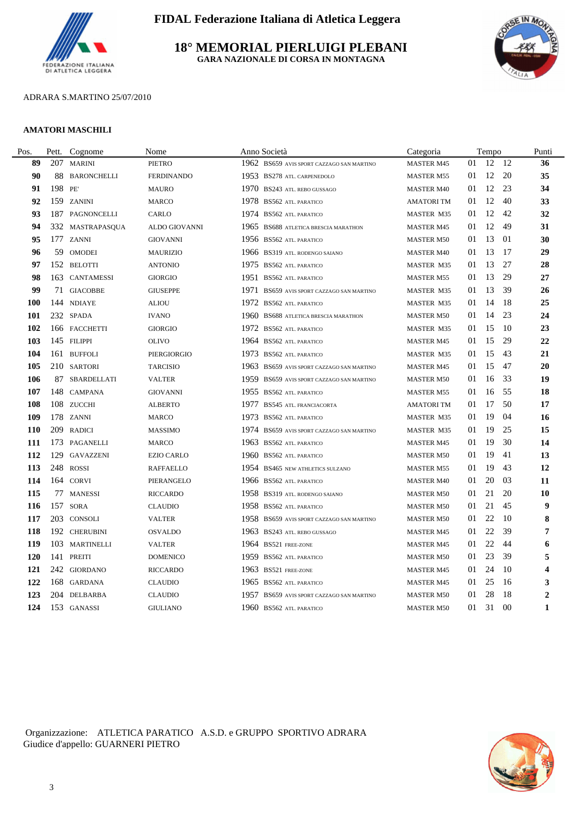

**18° MEMORIAL PIERLUIGI PLEBANI GARA NAZIONALE DI CORSA IN MONTAGNA**



# ADRARA S.MARTINO 25/07/2010

#### **AMATORI MASCHILI**

| Pos.       | Pett.  | Cognome          | Nome              | Anno Società                                 | Categoria         |    | Tempo |     | Punti                   |
|------------|--------|------------------|-------------------|----------------------------------------------|-------------------|----|-------|-----|-------------------------|
| 89         |        | 207 MARINI       | <b>PIETRO</b>     | 1962 BS659 AVIS SPORT CAZZAGO SAN MARTINO    | <b>MASTER M45</b> | 01 | 12 12 |     | 36                      |
| 90         |        | 88 BARONCHELLI   | <b>FERDINANDO</b> | 1953 BS278 ATL. CARPENEDOLO                  | <b>MASTER M55</b> | 01 | 12 20 |     | 35                      |
| 91         | 198 PE |                  | <b>MAURO</b>      | 1970 BS243 ATL. REBO GUSSAGO                 | <b>MASTER M40</b> | 01 | 12 23 |     | 34                      |
| 92         |        | 159 ZANINI       | <b>MARCO</b>      | 1978 BS562 ATL. PARATICO                     | <b>AMATORITM</b>  | 01 | 12    | 40  | 33                      |
| 93         | 187    | PAGNONCELLI      | CARLO             | 1974 BS562 ATL. PARATICO                     | MASTER M35        | 01 | 12    | 42  | 32                      |
| 94         |        | 332 MASTRAPASQUA | ALDO GIOVANNI     | 1965<br>BS688 ATLETICA BRESCIA MARATHON      | <b>MASTER M45</b> | 01 | 12    | 49  | 31                      |
| 95         |        | 177 ZANNI        | <b>GIOVANNI</b>   | 1956 BS562 ATL. PARATICO                     | <b>MASTER M50</b> | 01 | 13    | 01  | 30                      |
| 96         |        | 59 OMODEI        | <b>MAURIZIO</b>   | 1966 BS319 ATL. RODENGO SAIANO               | <b>MASTER M40</b> | 01 | 13    | -17 | 29                      |
| 97         |        | 152 BELOTTI      | <b>ANTONIO</b>    | 1975 BS562 ATL PARATICO                      | <b>MASTER M35</b> | 01 | 13    | 27  | 28                      |
| 98         |        | 163 CANTAMESSI   | <b>GIORGIO</b>    | 1951<br><b>BS562 ATL PARATICO</b>            | <b>MASTER M55</b> | 01 | 13    | 29  | 27                      |
| 99         |        | 71 GIACOBBE      | <b>GIUSEPPE</b>   | 1971<br>BS659 AVIS SPORT CAZZAGO SAN MARTINO | <b>MASTER M35</b> | 01 | 13    | 39  | 26                      |
| <b>100</b> |        | 144 NDIAYE       | <b>ALIOU</b>      | 1972<br><b>BS562 ATL PARATICO</b>            | <b>MASTER M35</b> | 01 | 14    | -18 | 25                      |
| 101        |        | 232 SPADA        | <b>IVANO</b>      | 1960 BS688 ATLETICA BRESCIA MARATHON         | <b>MASTER M50</b> | 01 | 14    | 23  | 24                      |
| 102        |        | 166 FACCHETTI    | <b>GIORGIO</b>    | 1972 BS562 ATL. PARATICO                     | MASTER M35        | 01 | 15    | -10 | 23                      |
| 103        |        | 145 FILIPPI      | <b>OLIVO</b>      | 1964 BS562 ATL. PARATICO                     | <b>MASTER M45</b> | 01 | 15    | 29  | $22\,$                  |
| 104        |        | 161 BUFFOLI      | PIERGIORGIO       | 1973 BS562 ATL. PARATICO                     | <b>MASTER M35</b> | 01 | 15    | 43  | 21                      |
| 105        |        | 210 SARTORI      | <b>TARCISIO</b>   | 1963 BS659 AVIS SPORT CAZZAGO SAN MARTINO    | <b>MASTER M45</b> | 01 | 15    | 47  | 20                      |
| 106        |        | 87 SBARDELLATI   | <b>VALTER</b>     | 1959<br>BS659 AVIS SPORT CAZZAGO SAN MARTINO | <b>MASTER M50</b> | 01 | 16    | 33  | 19                      |
| 107        |        | 148 CAMPANA      | <b>GIOVANNI</b>   | 1955 BS562 ATL PARATICO                      | <b>MASTER M55</b> | 01 | 16    | 55  | 18                      |
| 108        |        | 108 ZUCCHI       | <b>ALBERTO</b>    | 1977<br><b>BS545 ATL. FRANCIACORTA</b>       | <b>AMATORITM</b>  | 01 | 17    | 50  | 17                      |
| 109        |        | 178 ZANNI        | <b>MARCO</b>      | 1973<br><b>BS562 ATL. PARATICO</b>           | <b>MASTER M35</b> | 01 | 19    | 04  | 16                      |
| <b>110</b> |        | 209 RADICI       | <b>MASSIMO</b>    | 1974 BS659 AVIS SPORT CAZZAGO SAN MARTINO    | MASTER M35        | 01 | 19    | 25  | 15                      |
| 111        |        | 173 PAGANELLI    | <b>MARCO</b>      | 1963 BS562 ATL. PARATICO                     | <b>MASTER M45</b> | 01 | 19    | 30  | 14                      |
| 112        |        | 129 GAVAZZENI    | <b>EZIO CARLO</b> | 1960<br><b>BS562 ATL PARATICO</b>            | <b>MASTER M50</b> | 01 | 19    | 41  | 13                      |
| 113        |        | 248 ROSSI        | <b>RAFFAELLO</b>  | 1954 BS465 NEW ATHLETICS SULZANO             | <b>MASTER M55</b> | 01 | 19    | 43  | 12                      |
| 114        |        | 164 CORVI        | PIERANGELO        | 1966 BS562 ATL. PARATICO                     | <b>MASTER M40</b> | 01 | 20    | 03  | 11                      |
| 115        |        | 77 MANESSI       | <b>RICCARDO</b>   | 1958 BS319 ATL. RODENGO SAIANO               | <b>MASTER M50</b> | 01 | 21    | 20  | 10                      |
| 116        |        | 157 SORA         | <b>CLAUDIO</b>    | 1958 BS562 ATL. PARATICO                     | <b>MASTER M50</b> | 01 | 21    | 45  | 9                       |
| 117        |        | 203 CONSOLI      | <b>VALTER</b>     | 1958 BS659 AVIS SPORT CAZZAGO SAN MARTINO    | <b>MASTER M50</b> | 01 | 22    | -10 | 8                       |
| 118        |        | 192 CHERUBINI    | <b>OSVALDO</b>    | 1963 BS243 ATL. REBO GUSSAGO                 | <b>MASTER M45</b> | 01 | 22    | 39  | 7                       |
| 119        |        | 103 MARTINELLI   | <b>VALTER</b>     | 1964 BS521 FREE-ZONE                         | <b>MASTER M45</b> | 01 | 22    | 44  | 6                       |
| <b>120</b> |        | 141 PREITI       | <b>DOMENICO</b>   | 1959 BS562 ATL. PARATICO                     | <b>MASTER M50</b> | 01 | 23    | 39  | 5                       |
| 121        |        | 242 GIORDANO     | <b>RICCARDO</b>   | 1963 BS521 FREE-ZONE                         | <b>MASTER M45</b> | 01 | 24    | -10 | $\overline{\mathbf{4}}$ |
| 122        |        | 168 GARDANA      | <b>CLAUDIO</b>    | 1965 BS562 ATL. PARATICO                     | <b>MASTER M45</b> | 01 | 25    | -16 | 3                       |
| 123        |        | 204 DELBARBA     | <b>CLAUDIO</b>    | 1957<br>BS659 AVIS SPORT CAZZAGO SAN MARTINO | <b>MASTER M50</b> | 01 | 28    | -18 | $\overline{2}$          |
| 124        |        | 153 GANASSI      | <b>GIULIANO</b>   | 1960 BS562 ATL. PARATICO                     | <b>MASTER M50</b> | 01 | 31    | 00  | $\mathbf{1}$            |
|            |        |                  |                   |                                              |                   |    |       |     |                         |

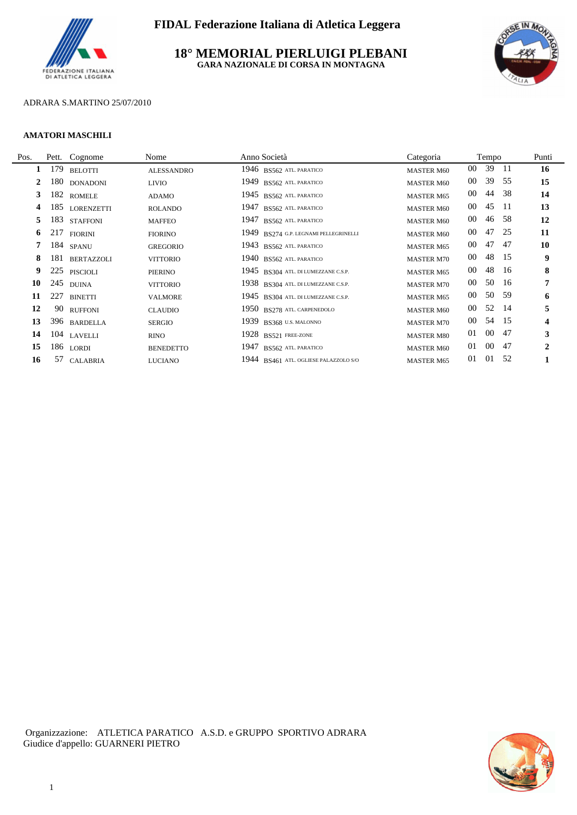

## **18° MEMORIAL PIERLUIGI PLEBANI GARA NAZIONALE DI CORSA IN MONTAGNA**



## ADRARA S.MARTINO 25/07/2010

#### **AMATORI MASCHILI**

L.

| Pos. | Pett. | Cognome           | Nome              | Anno Società                          | Categoria         |        | Tempo  |      | Punti                   |
|------|-------|-------------------|-------------------|---------------------------------------|-------------------|--------|--------|------|-------------------------|
|      | 179   | <b>BELOTTI</b>    | <b>ALESSANDRO</b> | 1946 BS562 ATL PARATICO               | <b>MASTER M60</b> | $00\,$ | 39     | - 11 | 16                      |
| 2    | 180   | <b>DONADONI</b>   | <b>LIVIO</b>      | 1949 BS562 ATL PARATICO               | <b>MASTER M60</b> | 00     | 39     | 55   | 15                      |
| 3    | 182   | <b>ROMELE</b>     | ADAMO             | 1945 BS562 ATL PARATICO               | <b>MASTER M65</b> | $00\,$ | 44     | -38  | 14                      |
| 4    | 185   | <b>LORENZETTI</b> | <b>ROLANDO</b>    | 1947 BS562 ATL. PARATICO              | <b>MASTER M60</b> | $00\,$ | 45     | -11  | 13                      |
| 5    | 183   | <b>STAFFONI</b>   | <b>MAFFEO</b>     | 1947 BS562 ATL PARATICO               | <b>MASTER M60</b> | 00     | 46     | -58  | 12                      |
| 6    | 217   | <b>FIORINI</b>    | <b>FIORINO</b>    | 1949 BS274 G.P. LEGNAMI PELLEGRINELLI | <b>MASTER M60</b> | 00     | 47     | -25  | 11                      |
|      |       | 184 SPANU         | <b>GREGORIO</b>   | 1943 BS562 ATL PARATICO               | <b>MASTER M65</b> | 00     | 47     | 47   | 10                      |
| 8    | 181   | <b>BERTAZZOLI</b> | <b>VITTORIO</b>   | 1940 BS562 ATL PARATICO               | <b>MASTER M70</b> | 00     | 48     | -15  | 9                       |
| 9    |       | 225 PISCIOLI      | PIERINO           | 1945 BS304 ATL. DI LUMEZZANE C.S.P.   | <b>MASTER M65</b> | 00     | 48     | -16  | 8                       |
| 10   | 245   | <b>DUINA</b>      | <b>VITTORIO</b>   | 1938 BS304 ATL. DI LUMEZZANE C.S.P.   | <b>MASTER M70</b> | 00     | 50     | -16  | 7                       |
| 11   | 227   | <b>BINETTI</b>    | <b>VALMORE</b>    | 1945 BS304 ATL. DI LUMEZZANE C.S.P.   | <b>MASTER M65</b> | $00\,$ | 50     | -59  | 6                       |
| 12   |       | 90 RUFFONI        | <b>CLAUDIO</b>    | 1950 BS278 ATL. CARPENEDOLO           | <b>MASTER M60</b> | 00     | 52     | -14  | 5                       |
| 13   |       | 396 BARDELLA      | <b>SERGIO</b>     | 1939 BS368 U.S. MALONNO               | <b>MASTER M70</b> | $00\,$ | 54     | - 15 | $\overline{\mathbf{4}}$ |
| 14   |       | 104 LAVELLI       | <b>RINO</b>       | 1928 BS521 FREE-ZONE                  | <b>MASTER M80</b> | 01     | $00\,$ | -47  | 3                       |
| 15   | 186   | <b>LORDI</b>      | <b>BENEDETTO</b>  | 1947 BS562 ATL. PARATICO              | <b>MASTER M60</b> | 01     | $00\,$ | -47  | $\mathbf{2}$            |
| 16   |       | 57 CALABRIA       | <b>LUCIANO</b>    | 1944 BS461 ATL. OGLIESE PALAZZOLO S/O | <b>MASTER M65</b> | 01     | 01     | 52   |                         |

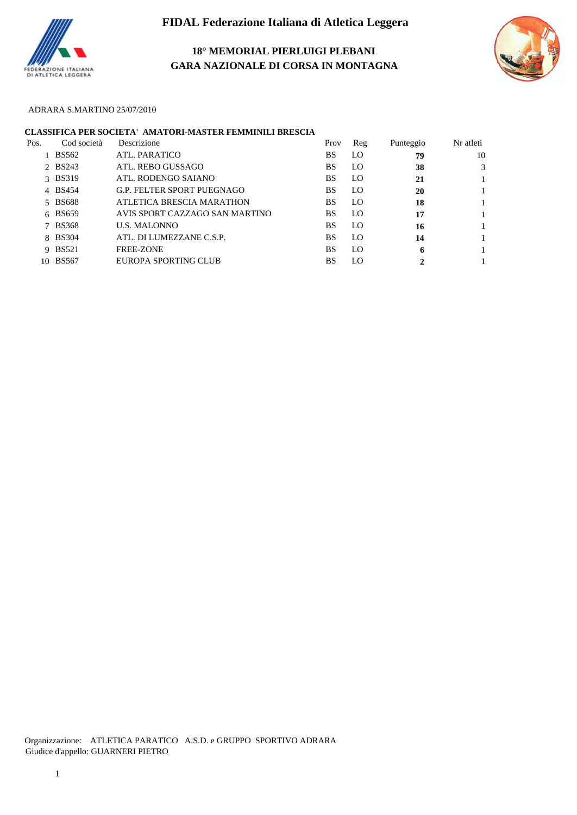

**18° MEMORIAL PIERLUIGI PLEBANI GARA NAZIONALE DI CORSA IN MONTAGNA**



## ADRARA S.MARTINO 25/07/2010

# **CLASSIFICA PER SOCIETA' AMATORI-MASTER FEMMINILI BRESCIA**

| Pos. | Cod società | Descrizione                       | Prov      | Reg | Punteggio | Nr atleti |
|------|-------------|-----------------------------------|-----------|-----|-----------|-----------|
|      | BS562       | ATL. PARATICO                     | BS        | LO. | 79        | 10        |
|      | 2 BS243     | ATL. REBO GUSSAGO                 | BS        | LO  | 38        |           |
|      | 3 BS319     | ATL. RODENGO SAJANO               | <b>BS</b> | LO. | 21        |           |
|      | 4 BS454     | <b>G.P. FELTER SPORT PUEGNAGO</b> | BS        | LO. | 20        |           |
|      | 5 BS688     | ATLETICA BRESCIA MARATHON         | BS        | LO. | 18        |           |
|      | 6 BS659     | AVIS SPORT CAZZAGO SAN MARTINO    | BS        | LO. | 17        |           |
|      | 7 BS368     | <b>U.S. MALONNO</b>               | BS        | LO. | 16        |           |
|      | 8 BS304     | ATL. DI LUMEZZANE C.S.P.          | <b>BS</b> | LO. | 14        |           |
|      | 9 BS521     | <b>FREE-ZONE</b>                  | BS        | LO. | 6         |           |
|      | 10 BS567    | EUROPA SPORTING CLUB              | BS        | LO  | 2         |           |
|      |             |                                   |           |     |           |           |